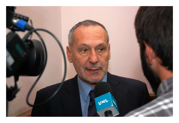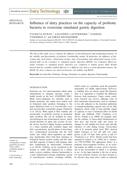# ORIGINAL **RESEARCH**

# Influence of dairy practices on the capacity of probiotic bacteria to overcome simulated gastric digestion

PATRICIA BURNS,<sup>†</sup> LISANDRO LAFFERRIERE,<sup>†</sup> GABRIEL VINDEROLA\* and JORGE REINHEIMER

Instituto de Lactología Industrial (INLAIN, UNL-CONICET), Facultad de Ingeniería Química, Universidad Nacional del Litoral, Santiago del Estero 2829, Santa Fe 3000, Argentina

The aim of this study was to evaluate the influence of microbiological and technological factors on the viability and functionality of probiotic Lactobacillus strains. In particular, the influence of harvesting time, food matrix, refrigerated storage, time of inoculation and refrigerated storage in fermented milk on the resistance to simulated gastric digestion (RSGD) was evaluated. Moreover, strain resistance to simulated gastric digestion was compared to human gastric fluid. Results showed that the variables studied affected, in a different way and in a strain-dependent manner, the RSGD. No direct relation was observed between cell viability and RSGD.

Keywords *Lactobacillus*, Probiotic, Storage, Resistance to gastric digestion, Functionality.

## **INTRODUCTION**

Probiotics are 'live microorganisms which when administered in adequate amounts confer a health benefit on the host' (FAO/WHO 2002). Many micro-organisms are currently used as human probiotics, the strains most widely used in fermented dairy products belonging to the genus Bifidobacterium or to Lactobacillus casei and Lactobacillus acidophilus groups (Vinderola et al. 2011a). With regard to their viability and functionality of probiotic bacteria in fermented dairy products, this can be modified by many microbiological and technological factors, which should therefore be taken into account. In fact, the factors involved during biomass production of a strain (medium pH, available sugars and their concentrations, growth phase at harvesting, etc.), technological processing and the food matrix into which micro-organisms are added may significantly affect both their resistance to biological barriers (gastric acidity and bile salts) and their capacity to interact with immune cells. thus conditioning its functionality (Vinderola et al. 2011b). Viability can be considered as the amount of viable cells displayed by a culture under a given condition, whereas functionality is a more sophisticated concept comprising a group of nonexhaustive features, including viability,

which confer on a probiotic strain the properties responsible for health improvement. However, as viability does not always mean full functionality, it is important to establish the difference between both parameters. Under certain conditions, bacteria can survive, although some of their functional characteristics such as resistance to low pH, adhesion to the intestinal epithelium or immunomodulating capacity may not be fully displayed, which could at least partially impair its capacity to exert a beneficial effect on health (Reilly and Gilliland 1999; Vinderola et al. 2011a). Saarela et al. (2006), for example, studied the stability of freeze-dried bifidobacteria in fruit juice and low-fat milk and found no changes in cell viability but lower acid and bile tolerance of cells during storage. Freeze-dried cells of *B. animalis* subsp. *lactis* INL1 showed higher tolerance to low pH (pH 2.0) when grown at pH 5.0 than when grown at pH 6.5 (Vinderola et al. 2012). Similar results had been reported by Saarela et al. (2009) for L. rhamnosus VTT E-97800. The appropriate choice of a probiotic micro-organism involves, as an essential feature, its ability to reach, survive and persist in the environment in which it is intended to act. As the large intestine is the site of action for most probiotic bacteria, for these bacteria to be effective they must arrive viable in sufficient

\*Author for correspondence. E-mail: gvinde@fiq.unl.edu.ar. These authors contributed equally to this work.

© 2014 Society of Dairy Technology